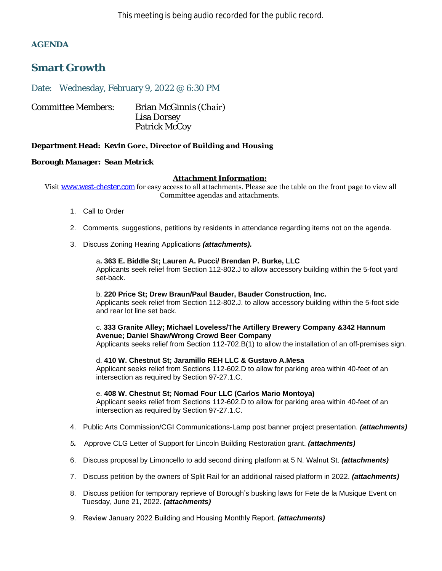### **AGENDA**

# **Smart Growth**

Date: Wednesday, February 9, 2022 @ 6:30 PM

| <b>Committee Members:</b> | Brian McGinnis (Chair) |
|---------------------------|------------------------|
|                           | Lisa Dorsey            |
|                           | Patrick McCoy          |

### **Department Head: Kevin Gore, Director of Building and Housing**

### **Borough Manager: Sean Metrick**

#### **Attachment Information:**

Visit [www.west-chester.com](http://www.west-chester.com/) for easy access to all attachments. Please see the table on the front page to view all Committee agendas and attachments.

- 1. Call to Order
- 2. Comments, suggestions, petitions by residents in attendance regarding items not on the agenda.
- 3. Discuss Zoning Hearing Applications *(attachments).*

# a**. 363 E. Biddle St; Lauren A. Pucci/ Brendan P. Burke, LLC**

Applicants seek relief from Section 112-802.J to allow accessory building within the 5-foot yard set-back.

#### b. **220 Price St; Drew Braun/Paul Bauder, Bauder Construction, Inc.** Applicants seek relief from Section 112-802.J. to allow accessory building within the 5-foot side and rear lot line set back.

c. **333 Granite Alley; Michael Loveless/The Artillery Brewery Company &342 Hannum Avenue; Daniel Shaw/Wrong Crowd Beer Company**

Applicants seeks relief from Section 112-702.B(1) to allow the installation of an off-premises sign.

### d. **410 W. Chestnut St; Jaramillo REH LLC & Gustavo A.Mesa**

Applicant seeks relief from Sections 112-602.D to allow for parking area within 40-feet of an intersection as required by Section 97-27.1.C.

e. **408 W. Chestnut St; Nomad Four LLC (Carlos Mario Montoya)**

Applicant seeks relief from Sections 112-602.D to allow for parking area within 40-feet of an intersection as required by Section 97-27.1.C.

- 4. Public Arts Commission/CGI Communications-Lamp post banner project presentation. *(attachments)*
- *5.* Approve CLG Letter of Support for Lincoln Building Restoration grant. *(attachments)*
- 6. Discuss proposal by Limoncello to add second dining platform at 5 N. Walnut St. *(attachments)*
- 7. Discuss petition by the owners of Split Rail for an additional raised platform in 2022. *(attachments)*
- 8. Discuss petition for temporary reprieve of Borough's busking laws for Fete de la Musique Event on Tuesday, June 21, 2022. *(attachments)*
- 9. Review January 2022 Building and Housing Monthly Report. *(attachments)*